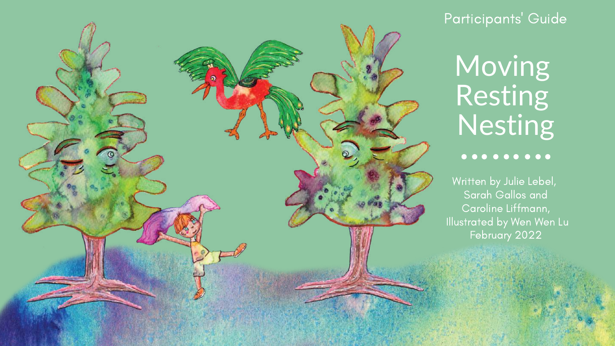

### Participants ' Guide

# Moving Resting Nesting

### . . . . . . . . .

Written by Julie Lebel, Sarah Gallos and Caroline Liffmann, Illustrated by Wen Wen Lu February 2022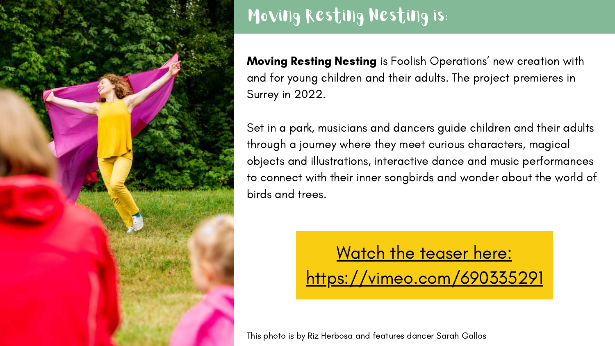

# Moving Resting Nesting is:

**Moving Resting Nesting** is Foolish Operations' new creation with and for young children and their adults. The project premieres in Surrey in 2022.

### Watch the teaser here: [https://vimeo.com/690335291](https://vimeo.com/661815461)

Set in a park, musicians and dancers guide children and their adults through a journey where they meet curious characters, magical objects and illustrations, interactive dance and music [performances](https://vimeo.com/229487232) to connect with their inner songbirds and wonder about the world of birds and trees.



This photo is by Riz Herbosa and features dancer Sarah Gallos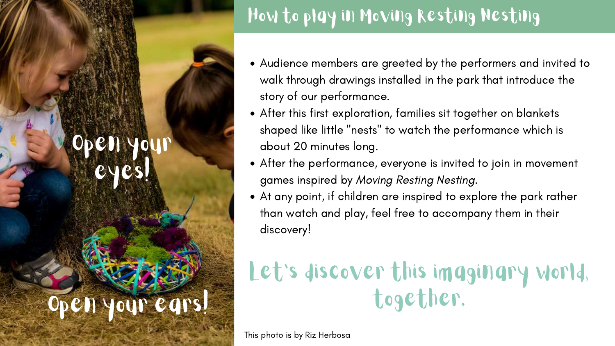# How to play in Moving Resting Nesting

- Audience members are greeted by the performers and invited to walk through drawings installed in the park that introduce the story of our performance.
- After this first exploration, families sit together on blankets shaped like little " nests " to watch the performance which is about 20 minutes long.
- After the performance, everyone is invited to join in movement games inspired by Moving Resting Nesting.
- At any point, if children are inspired to explore the park rather than watch and play, feel free to accompany them in their discovery!

ivain ears! together.

# Let's discover this imaginary world,

# Open your eyes!

This photo is by Riz Herbosa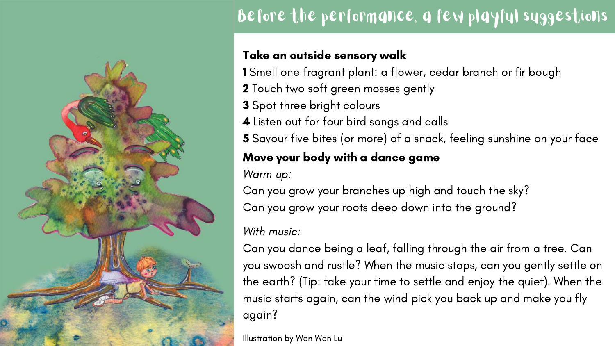### Take an outside sensory walk

1 Smell one fragrant plant: a flower, cedar branch or fir bough 2 Touch two soft green mosses gently 3 Spot three bright colours 4 Listen out for four bird songs and calls 5 Savour five bites (or more) of a snack, feeling [sunshine](https://www.youtube.com/watch?v=aTTDVryeFbY) on your face Move your body with a dance game Warm up: Can you grow your branches up high and touch the sky? Can you grow your roots deep down into the ground? With music:

- 
- Can you dance being a leaf, falling through the air from a tree. Can you swoosh and rustle? When the music stops, can you gently settle on the earth? (Tip: take your time to settle and enjoy the quiet). When the music starts again, can the wind pick you back up and make you fly

again?



### Before the performance, a few playful suggestions

Illustration by Wen Wen Lu

- 
-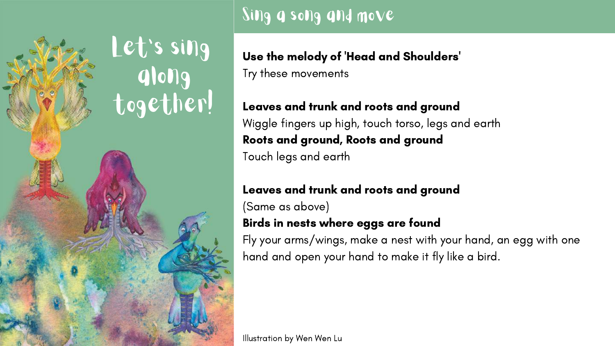Use the melody of 'Head and Shoulders 'Try these movements

Leaves and trunk and roots and ground Wiggle fingers up high, touch torso, legs and earth Roots and ground, Roots and ground Touch legs and earth

Leaves and trunk and roots and ground (Same as above) Birds in nests where eggs are found Fly your arms/wings, make a nest with your hand, an egg with one hand and open your hand to make it fly like a bird.

### Sing a song and move



Illustration by Wen Wen Lu

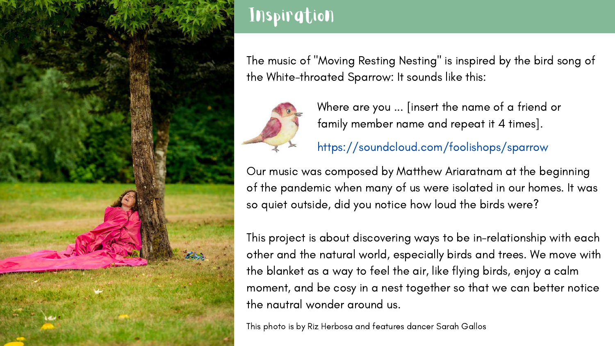

### Inspiration

The music of "Moving Resting Nesting " is inspired by the bird song of the [White-throated](https://dancersgroup.org/2012/05/the-first-steps-luna-dance-institute/) Sparrow: It sounds like this:



This photo is by Riz Herbosa and features dancer Sarah Gallos

Our music was composed by Matthew Ariaratnam at the beginning of the pandemic when many of us were isolated in our homes. It was so quiet outside, did you notice how loud the birds were?

This project is about discovering ways to be in-relationship with each other and the natural world, especially birds and trees. We move with the blanket as a way to feel the air, like flying birds, enjoy a calm moment, and be cosy in a nest together so that we can better notice the nautral wonder around us.

Where are you ... [insert the name of a friend or family member name and repeat it 4 times].

<https://soundcloud.com/foolishops/sparrow>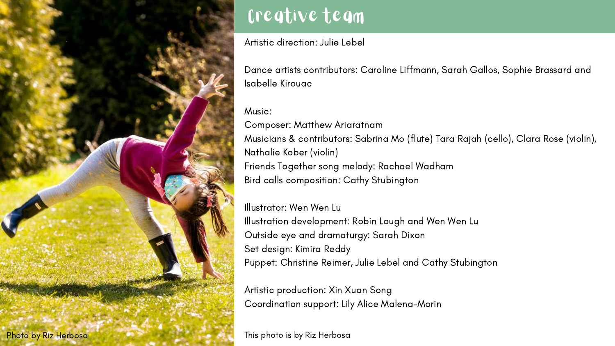### Creative team

Artistic direction: Julie Lebel

Dance artists contributors: Caroline Liffmann, Sarah Gallos, Sophie Brassard and Isabelle Kirouac

### Music:

Composer: Matthew Ariaratnam Musicians & contributors: Sabrina Mo (flute) Tara Rajah (cello), Clara Rose (violin), Nathalie Kober (violin) Friends Together song melody: Rachael Wadham Bird calls composition: Cathy Stubington

Illustrator: Wen Wen Lu Illustration development: Robin Lough and Wen Wen Lu Outside eye and dramaturgy: Sarah Dixon Set design: Kimira Reddy Puppet: Christine Reimer, Julie Lebel and Cathy Stubington

Artistic production: Xin Xuan Song Coordination support: Lily Alice Malena-Morin

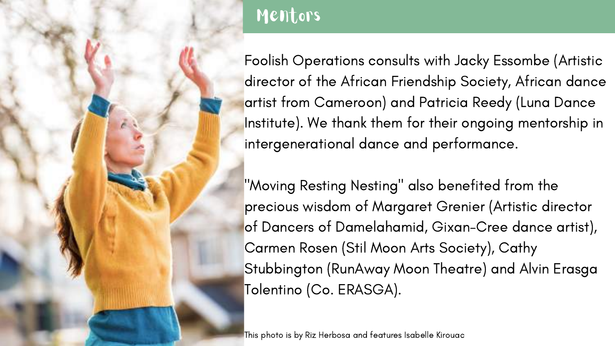### Mentors

Foolish Operations consults with Jacky Essombe (Artistic director of the African Friendship Society, African dance artist from Cameroon) and Patricia Reedy (Luna Dance Institute). We thank them for their ongoing mentorship in intergenerational dance and performance.

"Moving Resting Nesting" also benefited from the precious wisdom of Margaret Grenier (Artistic director of Dancers of Damelahamid, Gixan-Cree dance artist), Carmen Rosen (Stil Moon Arts Society), Cathy Stubbington (RunAway Moon Theatre) and Alvin Erasga Tolentino (Co. ERASGA).

This photo is by Riz Herbosa and features Isabelle Kirouac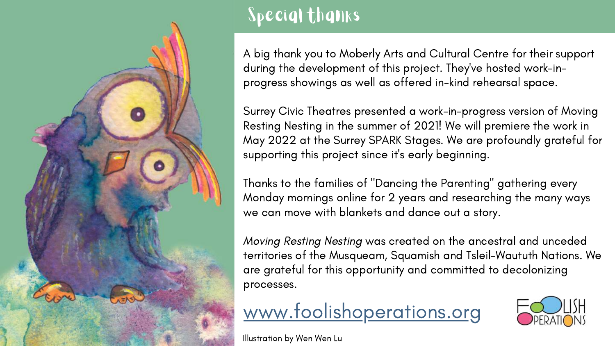

# Special thanks

A big thank you to Moberly Arts and Cultural Centre for their support during the development of this project. They ' ve hosted work-inprogress showings as well as offered in-kind rehearsal space.

Surrey Civic Theatres presented a work-in-progress version of Moving Resting Nesting in the summer of 2021! We will premiere the work in May 2022 at the Surrey SPARK Stages. We are profoundly grateful for supporting this project since it' s early beginning.

Thanks to the families of "Dancing the Parenting " gathering every Monday mornings online for 2 years and researching the many ways we can move with blankets and dance out a story.

Moving Resting Nesting was created on the ancestral and unceded territories of the Musqueam, Squamish and Tsleil-Waututh Nations. We are grateful for this opportunity and committed to decolonizing processes.



Illustration by Wen Wen Lu